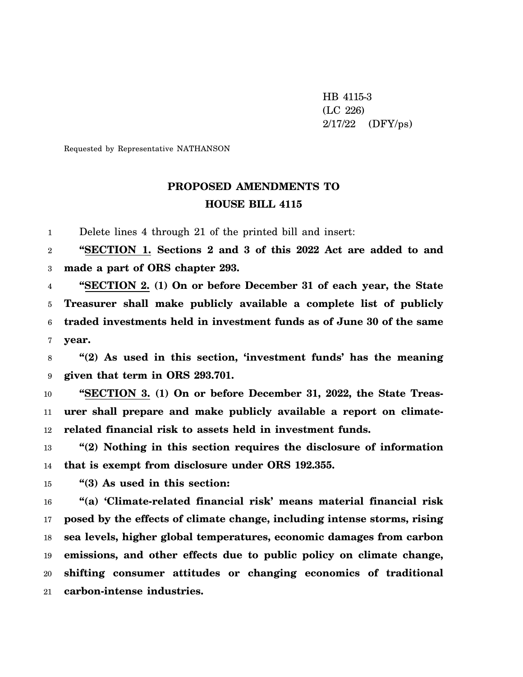HB 4115-3 (LC 226) 2/17/22 (DFY/ps)

Requested by Representative NATHANSON

## **PROPOSED AMENDMENTS TO HOUSE BILL 4115**

1 Delete lines 4 through 21 of the printed bill and insert:

2 3 **"SECTION 1. Sections 2 and 3 of this 2022 Act are added to and made a part of ORS chapter 293.**

4 5 6 7 **"SECTION 2. (1) On or before December 31 of each year, the State Treasurer shall make publicly available a complete list of publicly traded investments held in investment funds as of June 30 of the same year.**

8 9 **"(2) As used in this section, 'investment funds' has the meaning given that term in ORS 293.701.**

10 11 12 **"SECTION 3. (1) On or before December 31, 2022, the State Treasurer shall prepare and make publicly available a report on climaterelated financial risk to assets held in investment funds.**

13 14 **"(2) Nothing in this section requires the disclosure of information that is exempt from disclosure under ORS 192.355.**

15 **"(3) As used in this section:**

16 17 18 19 20 21 **"(a) 'Climate-related financial risk' means material financial risk posed by the effects of climate change, including intense storms, rising sea levels, higher global temperatures, economic damages from carbon emissions, and other effects due to public policy on climate change, shifting consumer attitudes or changing economics of traditional carbon-intense industries.**